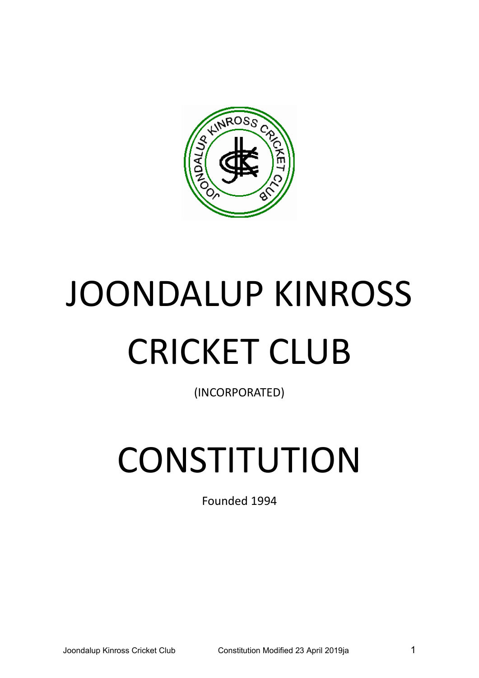

# JOONDALUP KINROSS CRICKET CLUB

(INCORPORATED)

# **CONSTITUTION**

Founded 1994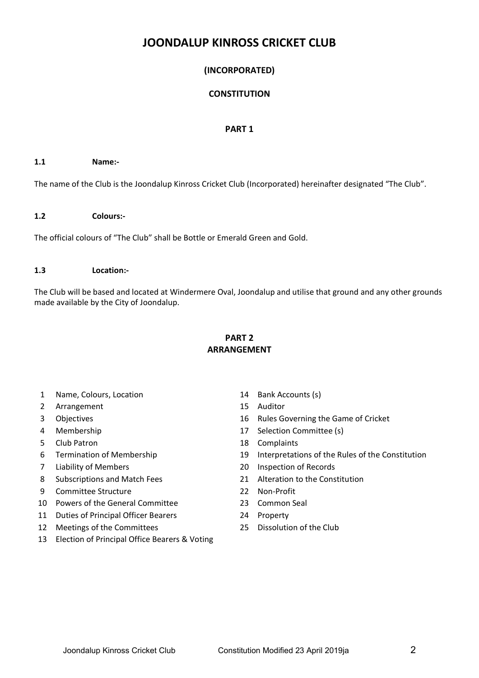# **JOONDALUP KINROSS CRICKET CLUB**

# **(INCORPORATED)**

# **CONSTITUTION**

#### **PART 1**

#### **1.1 Name:-**

The name of the Club is the Joondalup Kinross Cricket Club (Incorporated) hereinafter designated "The Club".

#### **1.2 Colours:-**

The official colours of "The Club" shall be Bottle or Emerald Green and Gold.

#### **1.3 Location:-**

The Club will be based and located at Windermere Oval, Joondalup and utilise that ground and any other grounds made available by the City of Joondalup.

# **PART 2 ARRANGEMENT**

- 1 Name, Colours, Location 14 Bank Accounts (s)
- 2 Arrangement 15 Auditor
- 
- 
- 5 Club Patron 18 Complaints
- 
- 
- 
- 9 Committee Structure 22 Non-Profit
- 10 Powers of the General Committee 23 Common Seal
- 11 Duties of Principal Officer Bearers 24 Property
- 12 Meetings of the Committees 25 Dissolution of the Club
- 13 Election of Principal Office Bearers & Voting
- 
- 
- 3 Objectives 16 Rules Governing the Game of Cricket
- 4 Membership 17 Selection Committee (s)
	-
- 6 Termination of Membership 19 Interpretations of the Rules of the Constitution
- 7 Liability of Members 20 Inspection of Records
- 8 Subscriptions and Match Fees 21 Alteration to the Constitution
	-
	-
	-
	-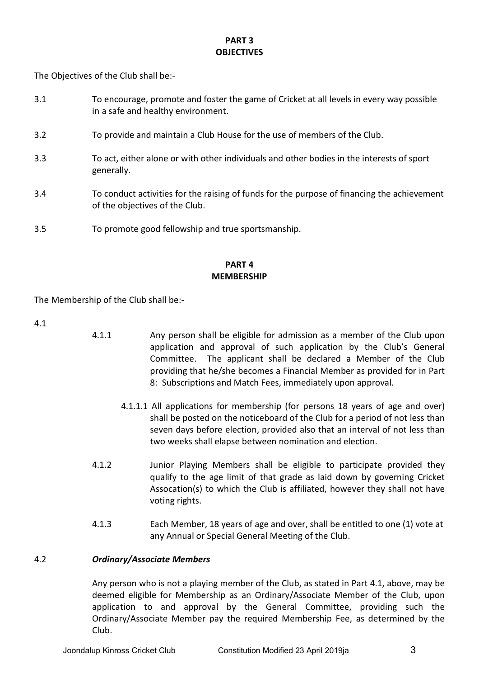# **PART 3 OBJECTIVES**

The Objectives of the Club shall be:-

- 3.1 To encourage, promote and foster the game of Cricket at all levels in every way possible in a safe and healthy environment.
- 3.2 To provide and maintain a Club House for the use of members of the Club.
- 3.3 To act, either alone or with other individuals and other bodies in the interests of sport generally.
- 3.4 To conduct activities for the raising of funds for the purpose of financing the achievement of the objectives of the Club.
- 3.5 To promote good fellowship and true sportsmanship.

# **PART 4 MEMBERSHIP**

The Membership of the Club shall be:-

4.1

- 4.1.1 Any person shall be eligible for admission as a member of the Club upon application and approval of such application by the Club's General Committee. The applicant shall be declared a Member of the Club providing that he/she becomes a Financial Member as provided for in Part 8: Subscriptions and Match Fees, immediately upon approval.
	- 4.1.1.1 All applications for membership (for persons 18 years of age and over) shall be posted on the noticeboard of the Club for a period of not less than seven days before election, provided also that an interval of not less than two weeks shall elapse between nomination and election.
	- 4.1.2 Junior Playing Members shall be eligible to participate provided they qualify to the age limit of that grade as laid down by governing Cricket Assocation(s) to which the Club is affiliated, however they shall not have voting rights.
	- 4.1.3 Each Member, 18 years of age and over, shall be entitled to one (1) vote at any Annual or Special General Meeting of the Club.

# 4.2 *Ordinary/Associate Members*

Any person who is not a playing member of the Club, as stated in Part 4.1, above, may be deemed eligible for Membership as an Ordinary/Associate Member of the Club, upon application to and approval by the General Committee, providing such the Ordinary/Associate Member pay the required Membership Fee, as determined by the Club.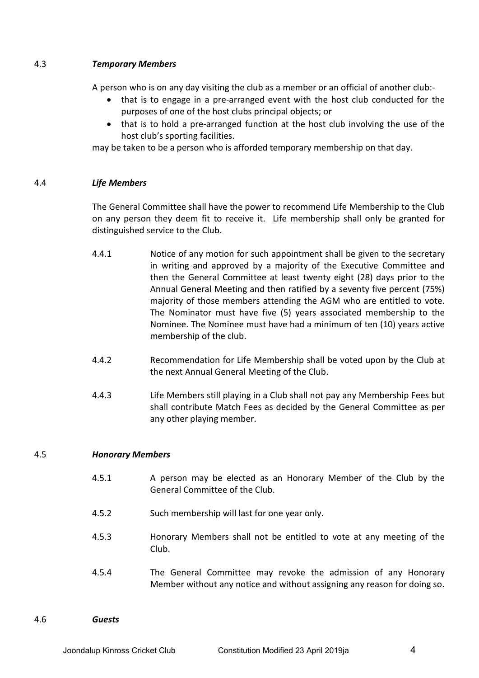# 4.3 *Temporary Members*

A person who is on any day visiting the club as a member or an official of another club:-

- that is to engage in a pre-arranged event with the host club conducted for the purposes of one of the host clubs principal objects; or
- that is to hold a pre-arranged function at the host club involving the use of the host club's sporting facilities.

may be taken to be a person who is afforded temporary membership on that day.

## 4.4 *Life Members*

The General Committee shall have the power to recommend Life Membership to the Club on any person they deem fit to receive it. Life membership shall only be granted for distinguished service to the Club.

- 4.4.1 Notice of any motion for such appointment shall be given to the secretary in writing and approved by a majority of the Executive Committee and then the General Committee at least twenty eight (28) days prior to the Annual General Meeting and then ratified by a seventy five percent (75%) majority of those members attending the AGM who are entitled to vote. The Nominator must have five (5) years associated membership to the Nominee. The Nominee must have had a minimum of ten (10) years active membership of the club.
- 4.4.2 Recommendation for Life Membership shall be voted upon by the Club at the next Annual General Meeting of the Club.
- 4.4.3 Life Members still playing in a Club shall not pay any Membership Fees but shall contribute Match Fees as decided by the General Committee as per any other playing member.

# 4.5 *Honorary Members*

- 4.5.1 A person may be elected as an Honorary Member of the Club by the General Committee of the Club.
- 4.5.2 Such membership will last for one year only.
- 4.5.3 Honorary Members shall not be entitled to vote at any meeting of the Club.
- 4.5.4 The General Committee may revoke the admission of any Honorary Member without any notice and without assigning any reason for doing so.

4.6 *Guests*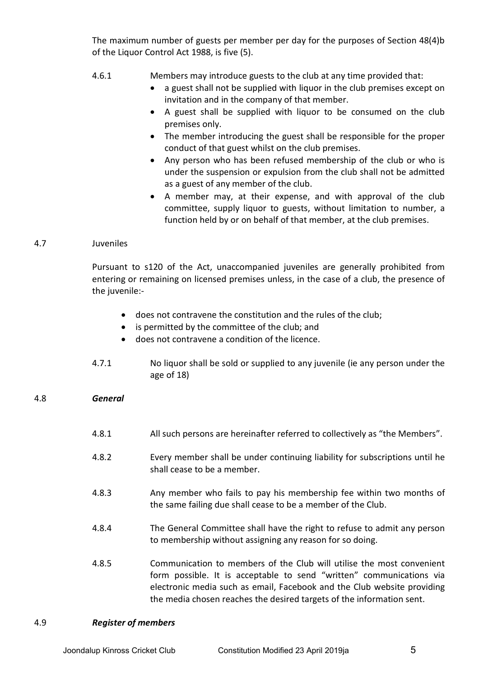The maximum number of guests per member per day for the purposes of Section 48(4)b of the Liquor Control Act 1988, is five (5).

- 4.6.1 Members may introduce guests to the club at any time provided that:
	- a guest shall not be supplied with liquor in the club premises except on invitation and in the company of that member.
	- A guest shall be supplied with liquor to be consumed on the club premises only.
	- The member introducing the guest shall be responsible for the proper conduct of that guest whilst on the club premises.
	- Any person who has been refused membership of the club or who is under the suspension or expulsion from the club shall not be admitted as a guest of any member of the club.
	- A member may, at their expense, and with approval of the club committee, supply liquor to guests, without limitation to number, a function held by or on behalf of that member, at the club premises.

## 4.7 Juveniles

Pursuant to s120 of the Act, unaccompanied juveniles are generally prohibited from entering or remaining on licensed premises unless, in the case of a club, the presence of the juvenile:-

- does not contravene the constitution and the rules of the club;
- is permitted by the committee of the club; and
- does not contravene a condition of the licence.
- 4.7.1 No liquor shall be sold or supplied to any juvenile (ie any person under the age of 18)

# 4.8 *General*

- 4.8.1 All such persons are hereinafter referred to collectively as "the Members".
- 4.8.2 Every member shall be under continuing liability for subscriptions until he shall cease to be a member.
- 4.8.3 Any member who fails to pay his membership fee within two months of the same failing due shall cease to be a member of the Club.
- 4.8.4 The General Committee shall have the right to refuse to admit any person to membership without assigning any reason for so doing.
- 4.8.5 Communication to members of the Club will utilise the most convenient form possible. It is acceptable to send "written" communications via electronic media such as email, Facebook and the Club website providing the media chosen reaches the desired targets of the information sent.

#### 4.9 *Register of members*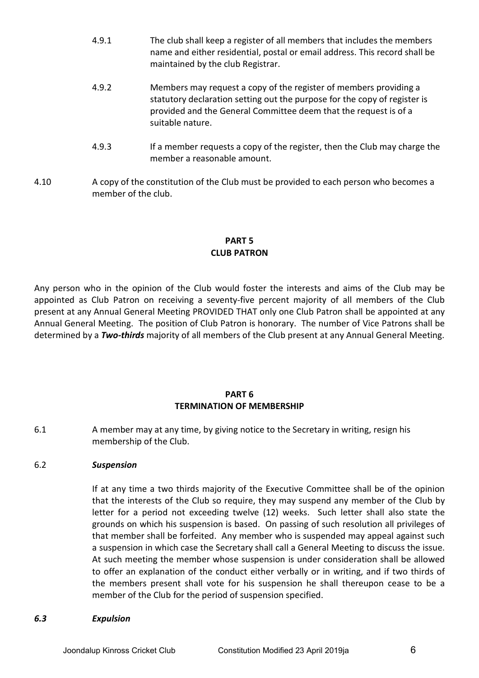- 4.9.1 The club shall keep a register of all members that includes the members name and either residential, postal or email address. This record shall be maintained by the club Registrar.
- 4.9.2 Members may request a copy of the register of members providing a statutory declaration setting out the purpose for the copy of register is provided and the General Committee deem that the request is of a suitable nature.
- 4.9.3 If a member requests a copy of the register, then the Club may charge the member a reasonable amount.
- 4.10 A copy of the constitution of the Club must be provided to each person who becomes a member of the club.

# **PART 5 CLUB PATRON**

Any person who in the opinion of the Club would foster the interests and aims of the Club may be appointed as Club Patron on receiving a seventy-five percent majority of all members of the Club present at any Annual General Meeting PROVIDED THAT only one Club Patron shall be appointed at any Annual General Meeting. The position of Club Patron is honorary. The number of Vice Patrons shall be determined by a *Two-thirds* majority of all members of the Club present at any Annual General Meeting.

# **PART 6 TERMINATION OF MEMBERSHIP**

6.1 A member may at any time, by giving notice to the Secretary in writing, resign his membership of the Club.

# 6.2 *Suspension*

If at any time a two thirds majority of the Executive Committee shall be of the opinion that the interests of the Club so require, they may suspend any member of the Club by letter for a period not exceeding twelve (12) weeks. Such letter shall also state the grounds on which his suspension is based. On passing of such resolution all privileges of that member shall be forfeited. Any member who is suspended may appeal against such a suspension in which case the Secretary shall call a General Meeting to discuss the issue. At such meeting the member whose suspension is under consideration shall be allowed to offer an explanation of the conduct either verbally or in writing, and if two thirds of the members present shall vote for his suspension he shall thereupon cease to be a member of the Club for the period of suspension specified.

#### *6.3 Expulsion*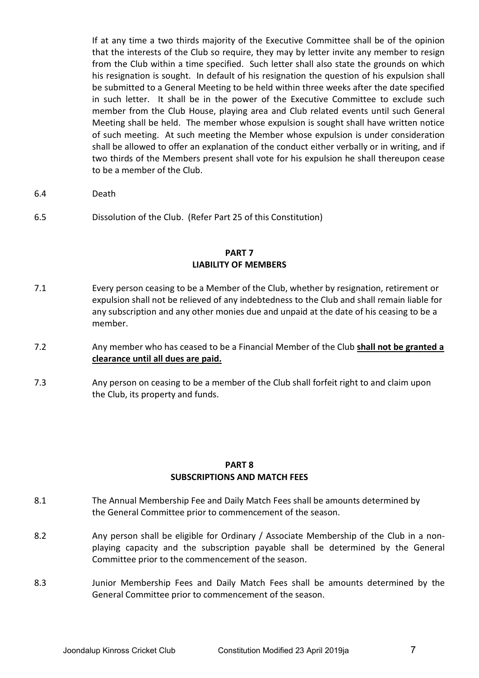If at any time a two thirds majority of the Executive Committee shall be of the opinion that the interests of the Club so require, they may by letter invite any member to resign from the Club within a time specified. Such letter shall also state the grounds on which his resignation is sought. In default of his resignation the question of his expulsion shall be submitted to a General Meeting to be held within three weeks after the date specified in such letter. It shall be in the power of the Executive Committee to exclude such member from the Club House, playing area and Club related events until such General Meeting shall be held. The member whose expulsion is sought shall have written notice of such meeting. At such meeting the Member whose expulsion is under consideration shall be allowed to offer an explanation of the conduct either verbally or in writing, and if two thirds of the Members present shall vote for his expulsion he shall thereupon cease to be a member of the Club.

6.4 Death

6.5 Dissolution of the Club. (Refer Part 25 of this Constitution)

#### **PART 7 LIABILITY OF MEMBERS**

- 7.1 Every person ceasing to be a Member of the Club, whether by resignation, retirement or expulsion shall not be relieved of any indebtedness to the Club and shall remain liable for any subscription and any other monies due and unpaid at the date of his ceasing to be a member.
- 7.2 Any member who has ceased to be a Financial Member of the Club **shall not be granted a clearance until all dues are paid.**
- 7.3 Any person on ceasing to be a member of the Club shall forfeit right to and claim upon the Club, its property and funds.

#### **PART 8 SUBSCRIPTIONS AND MATCH FEES**

- 8.1 The Annual Membership Fee and Daily Match Fees shall be amounts determined by the General Committee prior to commencement of the season.
- 8.2 Any person shall be eligible for Ordinary / Associate Membership of the Club in a nonplaying capacity and the subscription payable shall be determined by the General Committee prior to the commencement of the season.
- 8.3 Junior Membership Fees and Daily Match Fees shall be amounts determined by the General Committee prior to commencement of the season.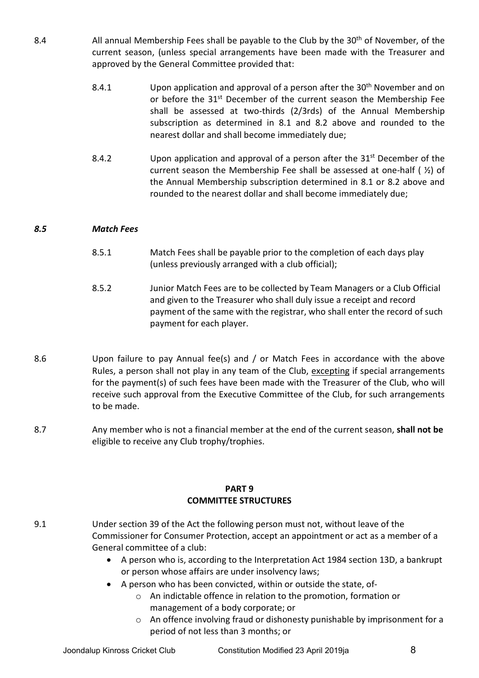- 8.4 All annual Membership Fees shall be payable to the Club by the 30<sup>th</sup> of November, of the current season, (unless special arrangements have been made with the Treasurer and approved by the General Committee provided that:
	- 8.4.1 Upon application and approval of a person after the 30<sup>th</sup> November and on or before the 31<sup>st</sup> December of the current season the Membership Fee shall be assessed at two-thirds (2/3rds) of the Annual Membership subscription as determined in 8.1 and 8.2 above and rounded to the nearest dollar and shall become immediately due;
	- 8.4.2 Upon application and approval of a person after the  $31^{st}$  December of the current season the Membership Fee shall be assessed at one-half ( ½) of the Annual Membership subscription determined in 8.1 or 8.2 above and rounded to the nearest dollar and shall become immediately due;

## *8.5 Match Fees*

- 8.5.1 Match Fees shall be payable prior to the completion of each days play (unless previously arranged with a club official);
- 8.5.2 Junior Match Fees are to be collected by Team Managers or a Club Official and given to the Treasurer who shall duly issue a receipt and record payment of the same with the registrar, who shall enter the record of such payment for each player.
- 8.6 Upon failure to pay Annual fee(s) and / or Match Fees in accordance with the above Rules, a person shall not play in any team of the Club, excepting if special arrangements for the payment(s) of such fees have been made with the Treasurer of the Club, who will receive such approval from the Executive Committee of the Club, for such arrangements to be made.
- 8.7 Any member who is not a financial member at the end of the current season, **shall not be** eligible to receive any Club trophy/trophies.

#### **PART 9 COMMITTEE STRUCTURES**

- 9.1 Under section 39 of the Act the following person must not, without leave of the Commissioner for Consumer Protection, accept an appointment or act as a member of a General committee of a club:
	- A person who is, according to the Interpretation Act 1984 section 13D, a bankrupt or person whose affairs are under insolvency laws;
	- A person who has been convicted, within or outside the state, of
		- o An indictable offence in relation to the promotion, formation or management of a body corporate; or
		- o An offence involving fraud or dishonesty punishable by imprisonment for a period of not less than 3 months; or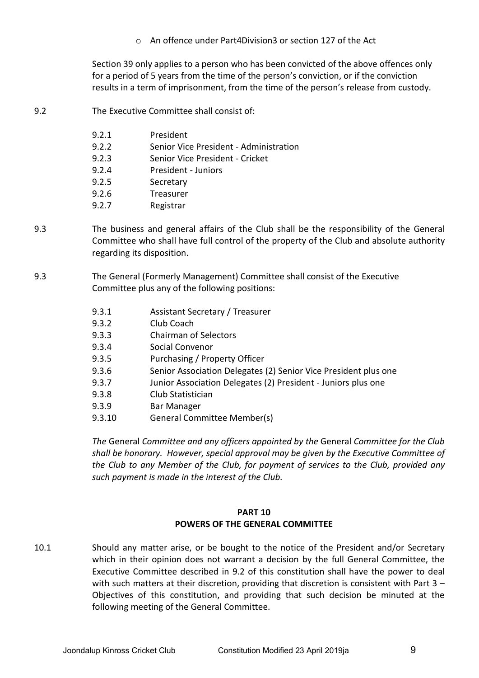o An offence under Part4Division3 or section 127 of the Act

Section 39 only applies to a person who has been convicted of the above offences only for a period of 5 years from the time of the person's conviction, or if the conviction results in a term of imprisonment, from the time of the person's release from custody.

9.2 The Executive Committee shall consist of:

| 9.2.1 | President                              |
|-------|----------------------------------------|
| 9.2.2 | Senior Vice President - Administration |
| 9.2.3 | Senior Vice President - Cricket        |
| 9.2.4 | President - Juniors                    |
| 9.2.5 | Secretary                              |
| 9.2.6 | Treasurer                              |
| 9.2.7 | Registrar                              |

- 9.3 The business and general affairs of the Club shall be the responsibility of the General Committee who shall have full control of the property of the Club and absolute authority regarding its disposition.
- 9.3 The General (Formerly Management) Committee shall consist of the Executive Committee plus any of the following positions:
	- 9.3.1 Assistant Secretary / Treasurer
	- 9.3.2 Club Coach
	- 9.3.3 Chairman of Selectors
	- 9.3.4 Social Convenor
	- 9.3.5 Purchasing / Property Officer
	- 9.3.6 Senior Association Delegates (2) Senior Vice President plus one
	- 9.3.7 Junior Association Delegates (2) President Juniors plus one
	- 9.3.8 Club Statistician
	- 9.3.9 Bar Manager
	- 9.3.10 General Committee Member(s)

*The* General *Committee and any officers appointed by the* General *Committee for the Club shall be honorary. However, special approval may be given by the Executive Committee of the Club to any Member of the Club, for payment of services to the Club, provided any such payment is made in the interest of the Club.*

## **PART 10 POWERS OF THE GENERAL COMMITTEE**

10.1 Should any matter arise, or be bought to the notice of the President and/or Secretary which in their opinion does not warrant a decision by the full General Committee, the Executive Committee described in 9.2 of this constitution shall have the power to deal with such matters at their discretion, providing that discretion is consistent with Part 3 – Objectives of this constitution, and providing that such decision be minuted at the following meeting of the General Committee.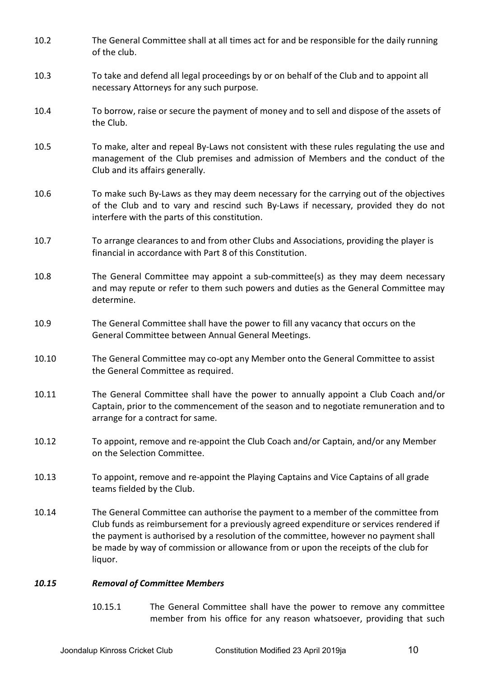- 10.2 The General Committee shall at all times act for and be responsible for the daily running of the club. 10.3 To take and defend all legal proceedings by or on behalf of the Club and to appoint all necessary Attorneys for any such purpose. 10.4 To borrow, raise or secure the payment of money and to sell and dispose of the assets of the Club. 10.5 To make, alter and repeal By-Laws not consistent with these rules regulating the use and management of the Club premises and admission of Members and the conduct of the Club and its affairs generally. 10.6 To make such By-Laws as they may deem necessary for the carrying out of the objectives of the Club and to vary and rescind such By-Laws if necessary, provided they do not interfere with the parts of this constitution. 10.7 To arrange clearances to and from other Clubs and Associations, providing the player is financial in accordance with Part 8 of this Constitution. 10.8 The General Committee may appoint a sub-committee(s) as they may deem necessary and may repute or refer to them such powers and duties as the General Committee may determine. 10.9 The General Committee shall have the power to fill any vacancy that occurs on the General Committee between Annual General Meetings. 10.10 The General Committee may co-opt any Member onto the General Committee to assist the General Committee as required. 10.11 The General Committee shall have the power to annually appoint a Club Coach and/or Captain, prior to the commencement of the season and to negotiate remuneration and to arrange for a contract for same. 10.12 To appoint, remove and re-appoint the Club Coach and/or Captain, and/or any Member on the Selection Committee. 10.13 To appoint, remove and re-appoint the Playing Captains and Vice Captains of all grade teams fielded by the Club. 10.14 The General Committee can authorise the payment to a member of the committee from Club funds as reimbursement for a previously agreed expenditure or services rendered if the payment is authorised by a resolution of the committee, however no payment shall be made by way of commission or allowance from or upon the receipts of the club for liquor. *10.15 Removal of Committee Members*
	- 10.15.1 The General Committee shall have the power to remove any committee member from his office for any reason whatsoever, providing that such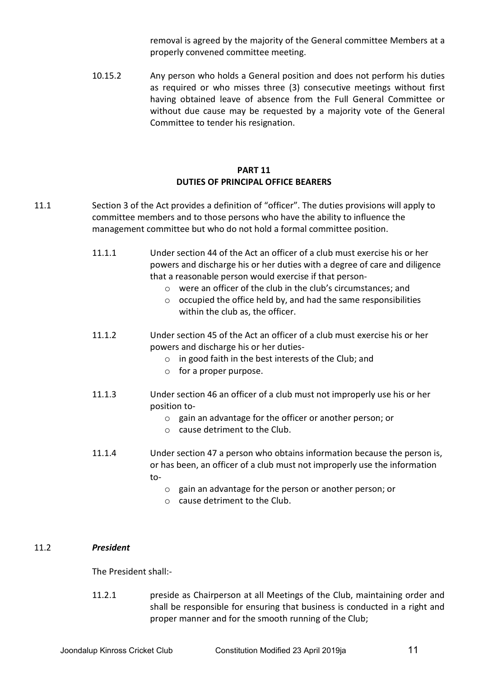removal is agreed by the majority of the General committee Members at a properly convened committee meeting.

10.15.2 Any person who holds a General position and does not perform his duties as required or who misses three (3) consecutive meetings without first having obtained leave of absence from the Full General Committee or without due cause may be requested by a majority vote of the General Committee to tender his resignation.

# **PART 11 DUTIES OF PRINCIPAL OFFICE BEARERS**

- 11.1 Section 3 of the Act provides a definition of "officer". The duties provisions will apply to committee members and to those persons who have the ability to influence the management committee but who do not hold a formal committee position.
	- 11.1.1 Under section 44 of the Act an officer of a club must exercise his or her powers and discharge his or her duties with a degree of care and diligence that a reasonable person would exercise if that person
		- o were an officer of the club in the club's circumstances; and
		- $\circ$  occupied the office held by, and had the same responsibilities within the club as, the officer.
	- 11.1.2 Under section 45 of the Act an officer of a club must exercise his or her powers and discharge his or her duties
		- o in good faith in the best interests of the Club; and
		- o for a proper purpose.
	- 11.1.3 Under section 46 an officer of a club must not improperly use his or her position to
		- o gain an advantage for the officer or another person; or
		- o cause detriment to the Club.
	- 11.1.4 Under section 47 a person who obtains information because the person is, or has been, an officer of a club must not improperly use the information to
		- o gain an advantage for the person or another person; or
		- o cause detriment to the Club.

#### 11.2 *President*

The President shall:-

11.2.1 preside as Chairperson at all Meetings of the Club, maintaining order and shall be responsible for ensuring that business is conducted in a right and proper manner and for the smooth running of the Club;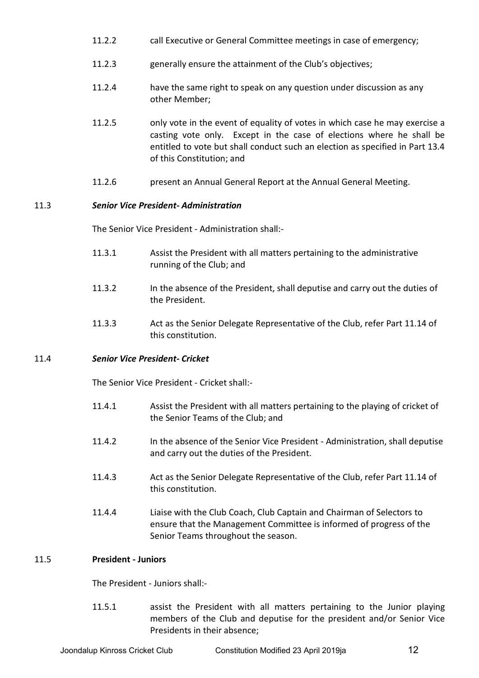- 11.2.2 call Executive or General Committee meetings in case of emergency;
- 11.2.3 generally ensure the attainment of the Club's objectives;
- 11.2.4 have the same right to speak on any question under discussion as any other Member;
- 11.2.5 only vote in the event of equality of votes in which case he may exercise a casting vote only. Except in the case of elections where he shall be entitled to vote but shall conduct such an election as specified in Part 13.4 of this Constitution; and
- 11.2.6 present an Annual General Report at the Annual General Meeting.

## 11.3 *Senior Vice President- Administration*

The Senior Vice President - Administration shall:-

- 11.3.1 Assist the President with all matters pertaining to the administrative running of the Club; and
- 11.3.2 In the absence of the President, shall deputise and carry out the duties of the President.
- 11.3.3 Act as the Senior Delegate Representative of the Club, refer Part 11.14 of this constitution.

#### 11.4 *Senior Vice President- Cricket*

The Senior Vice President - Cricket shall:-

- 11.4.1 Assist the President with all matters pertaining to the playing of cricket of the Senior Teams of the Club; and
- 11.4.2 In the absence of the Senior Vice President Administration, shall deputise and carry out the duties of the President.
- 11.4.3 Act as the Senior Delegate Representative of the Club, refer Part 11.14 of this constitution.
- 11.4.4 Liaise with the Club Coach, Club Captain and Chairman of Selectors to ensure that the Management Committee is informed of progress of the Senior Teams throughout the season.

### 11.5 **President - Juniors**

The President - Juniors shall:-

11.5.1 assist the President with all matters pertaining to the Junior playing members of the Club and deputise for the president and/or Senior Vice Presidents in their absence;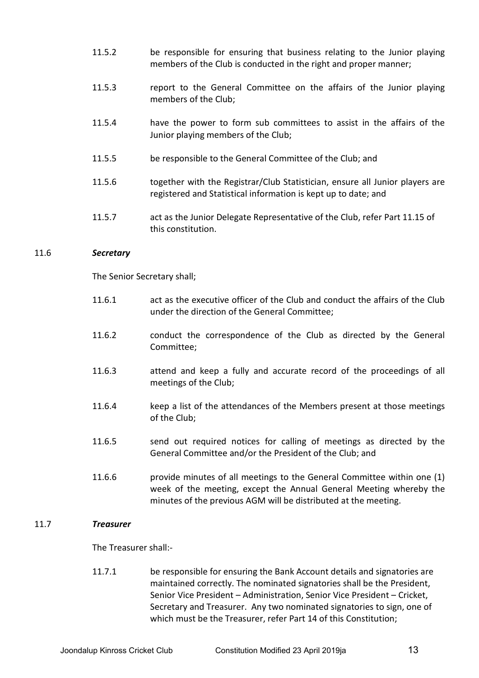- 11.5.2 be responsible for ensuring that business relating to the Junior playing members of the Club is conducted in the right and proper manner;
- 11.5.3 report to the General Committee on the affairs of the Junior playing members of the Club;
- 11.5.4 have the power to form sub committees to assist in the affairs of the Junior playing members of the Club;
- 11.5.5 be responsible to the General Committee of the Club; and
- 11.5.6 together with the Registrar/Club Statistician, ensure all Junior players are registered and Statistical information is kept up to date; and
- 11.5.7 act as the Junior Delegate Representative of the Club, refer Part 11.15 of this constitution.

#### 11.6 *Secretary*

The Senior Secretary shall;

- 11.6.1 act as the executive officer of the Club and conduct the affairs of the Club under the direction of the General Committee;
- 11.6.2 conduct the correspondence of the Club as directed by the General Committee;
- 11.6.3 attend and keep a fully and accurate record of the proceedings of all meetings of the Club;
- 11.6.4 keep a list of the attendances of the Members present at those meetings of the Club;
- 11.6.5 send out required notices for calling of meetings as directed by the General Committee and/or the President of the Club; and
- 11.6.6 provide minutes of all meetings to the General Committee within one (1) week of the meeting, except the Annual General Meeting whereby the minutes of the previous AGM will be distributed at the meeting.

#### 11.7 *Treasurer*

The Treasurer shall:-

11.7.1 be responsible for ensuring the Bank Account details and signatories are maintained correctly. The nominated signatories shall be the President, Senior Vice President – Administration, Senior Vice President – Cricket, Secretary and Treasurer. Any two nominated signatories to sign, one of which must be the Treasurer, refer Part 14 of this Constitution;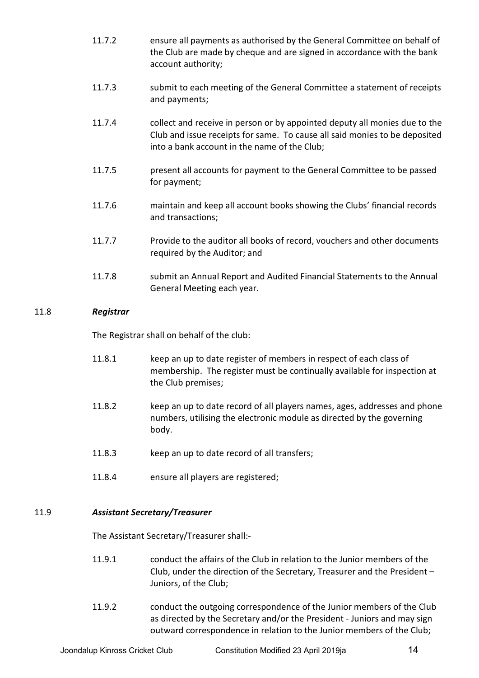- 11.7.2 ensure all payments as authorised by the General Committee on behalf of the Club are made by cheque and are signed in accordance with the bank account authority;
- 11.7.3 submit to each meeting of the General Committee a statement of receipts and payments;
- 11.7.4 collect and receive in person or by appointed deputy all monies due to the Club and issue receipts for same. To cause all said monies to be deposited into a bank account in the name of the Club;
- 11.7.5 present all accounts for payment to the General Committee to be passed for payment;
- 11.7.6 maintain and keep all account books showing the Clubs' financial records and transactions;
- 11.7.7 Provide to the auditor all books of record, vouchers and other documents required by the Auditor; and
- 11.7.8 submit an Annual Report and Audited Financial Statements to the Annual General Meeting each year.

# 11.8 *Registrar*

The Registrar shall on behalf of the club:

- 11.8.1 keep an up to date register of members in respect of each class of membership. The register must be continually available for inspection at the Club premises;
- 11.8.2 keep an up to date record of all players names, ages, addresses and phone numbers, utilising the electronic module as directed by the governing body.
- 11.8.3 keep an up to date record of all transfers;
- 11.8.4 ensure all players are registered;

# 11.9 *Assistant Secretary/Treasurer*

The Assistant Secretary/Treasurer shall:-

- 11.9.1 conduct the affairs of the Club in relation to the Junior members of the Club, under the direction of the Secretary, Treasurer and the President – Juniors, of the Club;
- 11.9.2 conduct the outgoing correspondence of the Junior members of the Club as directed by the Secretary and/or the President - Juniors and may sign outward correspondence in relation to the Junior members of the Club;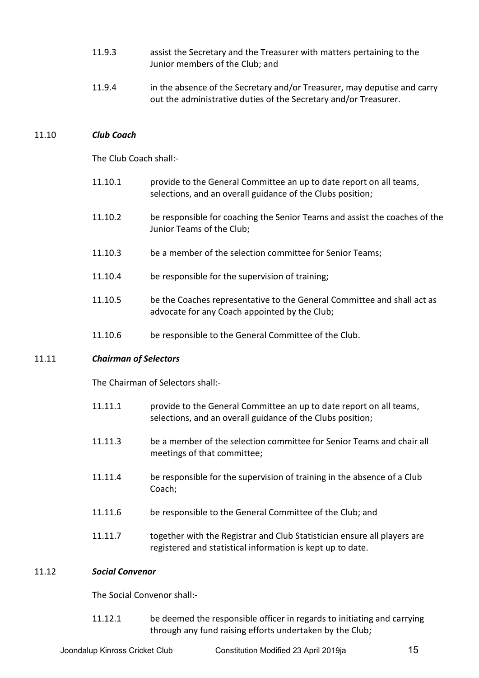- 11.9.3 assist the Secretary and the Treasurer with matters pertaining to the Junior members of the Club; and
- 11.9.4 in the absence of the Secretary and/or Treasurer, may deputise and carry out the administrative duties of the Secretary and/or Treasurer.

#### 11.10 *Club Coach*

The Club Coach shall:-

- 11.10.1 provide to the General Committee an up to date report on all teams, selections, and an overall guidance of the Clubs position;
- 11.10.2 be responsible for coaching the Senior Teams and assist the coaches of the Junior Teams of the Club;
- 11.10.3 be a member of the selection committee for Senior Teams;
- 11.10.4 be responsible for the supervision of training;
- 11.10.5 be the Coaches representative to the General Committee and shall act as advocate for any Coach appointed by the Club;
- 11.10.6 be responsible to the General Committee of the Club.

#### 11.11 *Chairman of Selectors*

The Chairman of Selectors shall:-

- 11.11.1 provide to the General Committee an up to date report on all teams, selections, and an overall guidance of the Clubs position;
- 11.11.3 be a member of the selection committee for Senior Teams and chair all meetings of that committee;
- 11.11.4 be responsible for the supervision of training in the absence of a Club Coach;
- 11.11.6 be responsible to the General Committee of the Club; and
- 11.11.7 together with the Registrar and Club Statistician ensure all players are registered and statistical information is kept up to date.

#### 11.12 *Social Convenor*

The Social Convenor shall:-

11.12.1 be deemed the responsible officer in regards to initiating and carrying through any fund raising efforts undertaken by the Club;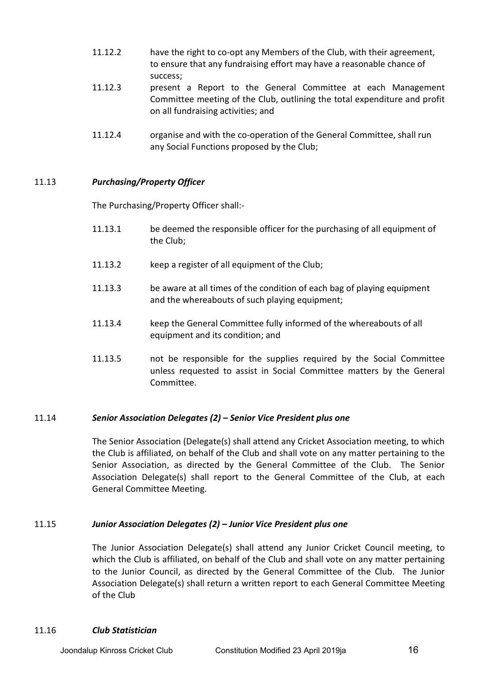- 11.12.2 have the right to co-opt any Members of the Club, with their agreement, to ensure that any fundraising effort may have a reasonable chance of success;
- 11.12.3 present a Report to the General Committee at each Management Committee meeting of the Club, outlining the total expenditure and profit on all fundraising activities; and
- 11.12.4 organise and with the co-operation of the General Committee, shall run any Social Functions proposed by the Club;

# 11.13 *Purchasing/Property Officer*

The Purchasing/Property Officer shall:-

- 11.13.1 be deemed the responsible officer for the purchasing of all equipment of the Club;
- 11.13.2 keep a register of all equipment of the Club;
- 11.13.3 be aware at all times of the condition of each bag of playing equipment and the whereabouts of such playing equipment;
- 11.13.4 keep the General Committee fully informed of the whereabouts of all equipment and its condition; and
- 11.13.5 not be responsible for the supplies required by the Social Committee unless requested to assist in Social Committee matters by the General Committee.

# 11.14 *Senior Association Delegates (2) – Senior Vice President plus one*

The Senior Association (Delegate(s) shall attend any Cricket Association meeting, to which the Club is affiliated, on behalf of the Club and shall vote on any matter pertaining to the Senior Association, as directed by the General Committee of the Club. The Senior Association Delegate(s) shall report to the General Committee of the Club, at each General Committee Meeting.

#### 11.15 *Junior Association Delegates (2) – Junior Vice President plus one*

The Junior Association Delegate(s) shall attend any Junior Cricket Council meeting, to which the Club is affiliated, on behalf of the Club and shall vote on any matter pertaining to the Junior Council, as directed by the General Committee of the Club. The Junior Association Delegate(s) shall return a written report to each General Committee Meeting of the Club

#### 11.16 *Club Statistician*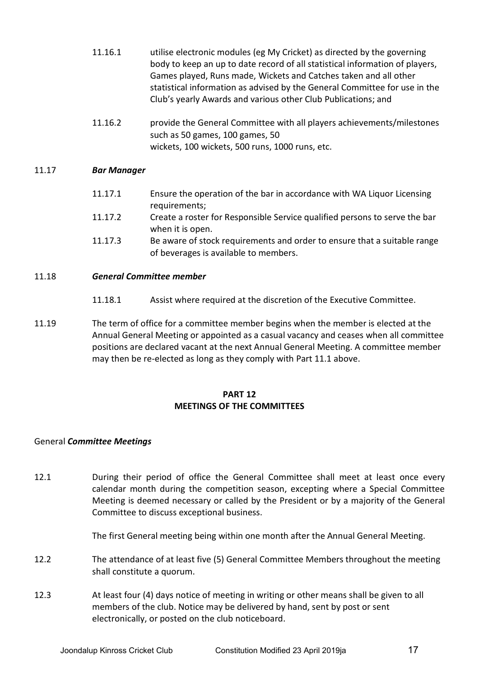- 11.16.1 utilise electronic modules (eg My Cricket) as directed by the governing body to keep an up to date record of all statistical information of players, Games played, Runs made, Wickets and Catches taken and all other statistical information as advised by the General Committee for use in the Club's yearly Awards and various other Club Publications; and
- 11.16.2 provide the General Committee with all players achievements/milestones such as 50 games, 100 games, 50 wickets, 100 wickets, 500 runs, 1000 runs, etc.

# 11.17 *Bar Manager*

- 11.17.1 Ensure the operation of the bar in accordance with WA Liquor Licensing requirements; 11.17.2 Create a roster for Responsible Service qualified persons to serve the bar
- when it is open. 11.17.3 Be aware of stock requirements and order to ensure that a suitable range of beverages is available to members.

## 11.18 *General Committee member*

- 11.18.1 Assist where required at the discretion of the Executive Committee.
- 11.19 The term of office for a committee member begins when the member is elected at the Annual General Meeting or appointed as a casual vacancy and ceases when all committee positions are declared vacant at the next Annual General Meeting. A committee member may then be re-elected as long as they comply with Part 11.1 above.

## **PART 12 MEETINGS OF THE COMMITTEES**

#### General *Committee Meetings*

12.1 During their period of office the General Committee shall meet at least once every calendar month during the competition season, excepting where a Special Committee Meeting is deemed necessary or called by the President or by a majority of the General Committee to discuss exceptional business.

The first General meeting being within one month after the Annual General Meeting.

- 12.2 The attendance of at least five (5) General Committee Members throughout the meeting shall constitute a quorum.
- 12.3 At least four (4) days notice of meeting in writing or other means shall be given to all members of the club. Notice may be delivered by hand, sent by post or sent electronically, or posted on the club noticeboard.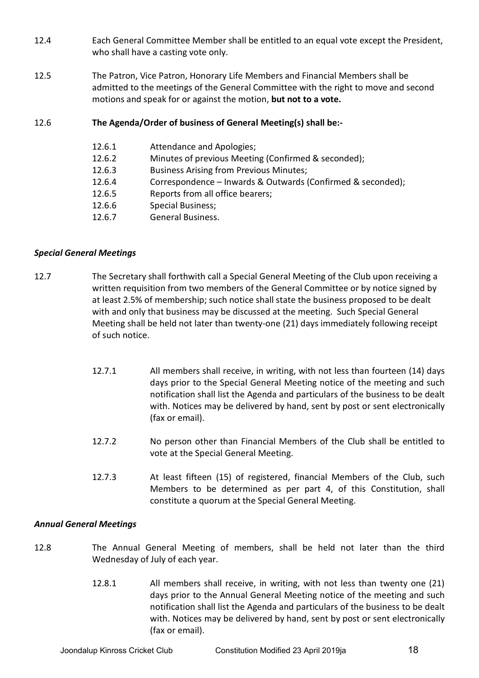- 12.4 Each General Committee Member shall be entitled to an equal vote except the President, who shall have a casting vote only.
- 12.5 The Patron, Vice Patron, Honorary Life Members and Financial Members shall be admitted to the meetings of the General Committee with the right to move and second motions and speak for or against the motion, **but not to a vote.**

# 12.6 **The Agenda/Order of business of General Meeting(s) shall be:-**

| 12.6.1 | Attendance and Apologies;                                   |
|--------|-------------------------------------------------------------|
| 12.6.2 | Minutes of previous Meeting (Confirmed & seconded);         |
| 12.6.3 | <b>Business Arising from Previous Minutes;</b>              |
| 12.6.4 | Correspondence - Inwards & Outwards (Confirmed & seconded); |
| 12.6.5 | Reports from all office bearers;                            |
| 12.6.6 | <b>Special Business;</b>                                    |
| 12.6.7 | General Business.                                           |

# *Special General Meetings*

- 12.7 The Secretary shall forthwith call a Special General Meeting of the Club upon receiving a written requisition from two members of the General Committee or by notice signed by at least 2.5% of membership; such notice shall state the business proposed to be dealt with and only that business may be discussed at the meeting. Such Special General Meeting shall be held not later than twenty-one (21) days immediately following receipt of such notice.
	- 12.7.1 All members shall receive, in writing, with not less than fourteen (14) days days prior to the Special General Meeting notice of the meeting and such notification shall list the Agenda and particulars of the business to be dealt with. Notices may be delivered by hand, sent by post or sent electronically (fax or email).
	- 12.7.2 No person other than Financial Members of the Club shall be entitled to vote at the Special General Meeting.
	- 12.7.3 At least fifteen (15) of registered, financial Members of the Club, such Members to be determined as per part 4, of this Constitution, shall constitute a quorum at the Special General Meeting.

# *Annual General Meetings*

- 12.8 The Annual General Meeting of members, shall be held not later than the third Wednesday of July of each year.
	- 12.8.1 All members shall receive, in writing, with not less than twenty one (21) days prior to the Annual General Meeting notice of the meeting and such notification shall list the Agenda and particulars of the business to be dealt with. Notices may be delivered by hand, sent by post or sent electronically (fax or email).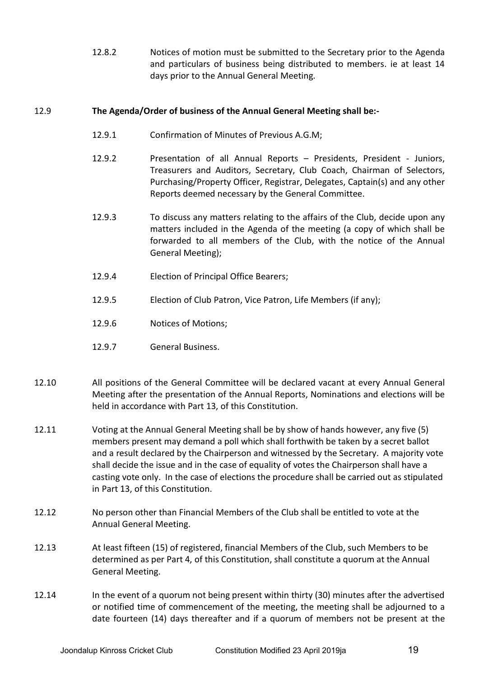12.8.2 Notices of motion must be submitted to the Secretary prior to the Agenda and particulars of business being distributed to members. ie at least 14 days prior to the Annual General Meeting.

# 12.9 **The Agenda/Order of business of the Annual General Meeting shall be:-**

- 12.9.1 Confirmation of Minutes of Previous A.G.M;
- 12.9.2 Presentation of all Annual Reports Presidents, President Juniors, Treasurers and Auditors, Secretary, Club Coach, Chairman of Selectors, Purchasing/Property Officer, Registrar, Delegates, Captain(s) and any other Reports deemed necessary by the General Committee.
- 12.9.3 To discuss any matters relating to the affairs of the Club, decide upon any matters included in the Agenda of the meeting (a copy of which shall be forwarded to all members of the Club, with the notice of the Annual General Meeting);
- 12.9.4 Election of Principal Office Bearers;
- 12.9.5 Election of Club Patron, Vice Patron, Life Members (if any);
- 12.9.6 Notices of Motions;
- 12.9.7 General Business.
- 12.10 All positions of the General Committee will be declared vacant at every Annual General Meeting after the presentation of the Annual Reports, Nominations and elections will be held in accordance with Part 13, of this Constitution.
- 12.11 Voting at the Annual General Meeting shall be by show of hands however, any five (5) members present may demand a poll which shall forthwith be taken by a secret ballot and a result declared by the Chairperson and witnessed by the Secretary. A majority vote shall decide the issue and in the case of equality of votes the Chairperson shall have a casting vote only. In the case of elections the procedure shall be carried out as stipulated in Part 13, of this Constitution.
- 12.12 No person other than Financial Members of the Club shall be entitled to vote at the Annual General Meeting.
- 12.13 At least fifteen (15) of registered, financial Members of the Club, such Members to be determined as per Part 4, of this Constitution, shall constitute a quorum at the Annual General Meeting.
- 12.14 In the event of a quorum not being present within thirty (30) minutes after the advertised or notified time of commencement of the meeting, the meeting shall be adjourned to a date fourteen (14) days thereafter and if a quorum of members not be present at the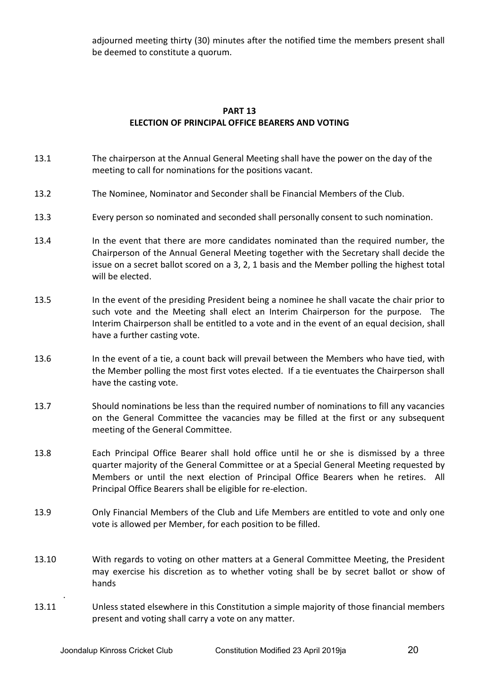adjourned meeting thirty (30) minutes after the notified time the members present shall be deemed to constitute a quorum.

# **PART 13 ELECTION OF PRINCIPAL OFFICE BEARERS AND VOTING**

- 13.1 The chairperson at the Annual General Meeting shall have the power on the day of the meeting to call for nominations for the positions vacant.
- 13.2 The Nominee, Nominator and Seconder shall be Financial Members of the Club.
- 13.3 Every person so nominated and seconded shall personally consent to such nomination.
- 13.4 In the event that there are more candidates nominated than the required number, the Chairperson of the Annual General Meeting together with the Secretary shall decide the issue on a secret ballot scored on a 3, 2, 1 basis and the Member polling the highest total will be elected.
- 13.5 In the event of the presiding President being a nominee he shall vacate the chair prior to such vote and the Meeting shall elect an Interim Chairperson for the purpose. The Interim Chairperson shall be entitled to a vote and in the event of an equal decision, shall have a further casting vote.
- 13.6 In the event of a tie, a count back will prevail between the Members who have tied, with the Member polling the most first votes elected. If a tie eventuates the Chairperson shall have the casting vote.
- 13.7 Should nominations be less than the required number of nominations to fill any vacancies on the General Committee the vacancies may be filled at the first or any subsequent meeting of the General Committee.
- 13.8 Each Principal Office Bearer shall hold office until he or she is dismissed by a three quarter majority of the General Committee or at a Special General Meeting requested by Members or until the next election of Principal Office Bearers when he retires. All Principal Office Bearers shall be eligible for re-election.
- 13.9 Only Financial Members of the Club and Life Members are entitled to vote and only one vote is allowed per Member, for each position to be filled.
- 13.10 With regards to voting on other matters at a General Committee Meeting, the President may exercise his discretion as to whether voting shall be by secret ballot or show of hands
- 13.11 Unless stated elsewhere in this Constitution a simple majority of those financial members present and voting shall carry a vote on any matter.

.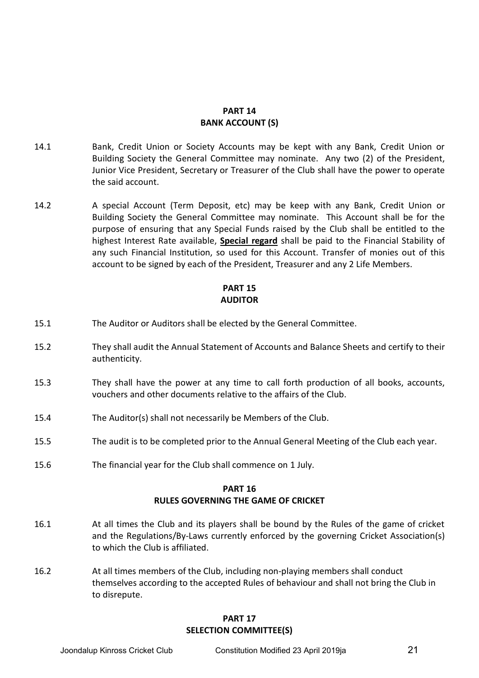### **PART 14 BANK ACCOUNT (S)**

- 14.1 Bank, Credit Union or Society Accounts may be kept with any Bank, Credit Union or Building Society the General Committee may nominate. Any two (2) of the President, Junior Vice President, Secretary or Treasurer of the Club shall have the power to operate the said account.
- 14.2 A special Account (Term Deposit, etc) may be keep with any Bank, Credit Union or Building Society the General Committee may nominate. This Account shall be for the purpose of ensuring that any Special Funds raised by the Club shall be entitled to the highest Interest Rate available, **Special regard** shall be paid to the Financial Stability of any such Financial Institution, so used for this Account. Transfer of monies out of this account to be signed by each of the President, Treasurer and any 2 Life Members.

# **PART 15 AUDITOR**

- 15.1 The Auditor or Auditors shall be elected by the General Committee.
- 15.2 They shall audit the Annual Statement of Accounts and Balance Sheets and certify to their authenticity.
- 15.3 They shall have the power at any time to call forth production of all books, accounts, vouchers and other documents relative to the affairs of the Club.
- 15.4 The Auditor(s) shall not necessarily be Members of the Club.
- 15.5 The audit is to be completed prior to the Annual General Meeting of the Club each year.
- 15.6 The financial year for the Club shall commence on 1 July.

### **PART 16 RULES GOVERNING THE GAME OF CRICKET**

- 16.1 At all times the Club and its players shall be bound by the Rules of the game of cricket and the Regulations/By-Laws currently enforced by the governing Cricket Association(s) to which the Club is affiliated.
- 16.2 At all times members of the Club, including non-playing members shall conduct themselves according to the accepted Rules of behaviour and shall not bring the Club in to disrepute.

#### **PART 17 SELECTION COMMITTEE(S)**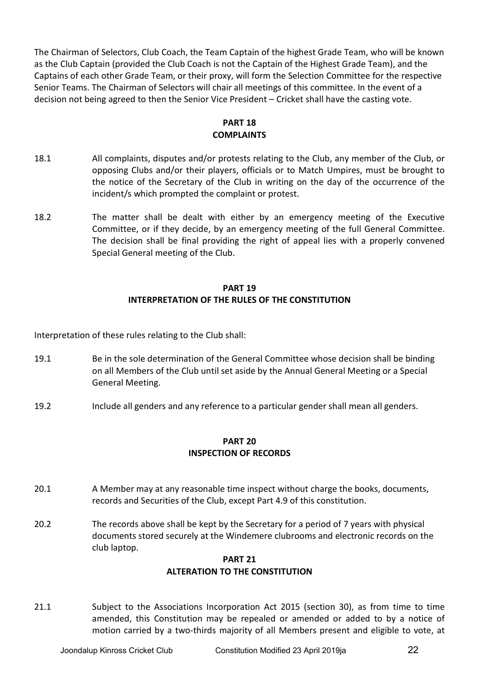The Chairman of Selectors, Club Coach, the Team Captain of the highest Grade Team, who will be known as the Club Captain (provided the Club Coach is not the Captain of the Highest Grade Team), and the Captains of each other Grade Team, or their proxy, will form the Selection Committee for the respective Senior Teams. The Chairman of Selectors will chair all meetings of this committee. In the event of a decision not being agreed to then the Senior Vice President – Cricket shall have the casting vote.

# **PART 18 COMPLAINTS**

- 18.1 All complaints, disputes and/or protests relating to the Club, any member of the Club, or opposing Clubs and/or their players, officials or to Match Umpires, must be brought to the notice of the Secretary of the Club in writing on the day of the occurrence of the incident/s which prompted the complaint or protest.
- 18.2 The matter shall be dealt with either by an emergency meeting of the Executive Committee, or if they decide, by an emergency meeting of the full General Committee. The decision shall be final providing the right of appeal lies with a properly convened Special General meeting of the Club.

# **PART 19 INTERPRETATION OF THE RULES OF THE CONSTITUTION**

Interpretation of these rules relating to the Club shall:

- 19.1 Be in the sole determination of the General Committee whose decision shall be binding on all Members of the Club until set aside by the Annual General Meeting or a Special General Meeting.
- 19.2 Include all genders and any reference to a particular gender shall mean all genders.

# **PART 20 INSPECTION OF RECORDS**

- 20.1 A Member may at any reasonable time inspect without charge the books, documents, records and Securities of the Club, except Part 4.9 of this constitution.
- 20.2 The records above shall be kept by the Secretary for a period of 7 years with physical documents stored securely at the Windemere clubrooms and electronic records on the club laptop.

# **PART 21 ALTERATION TO THE CONSTITUTION**

21.1 Subject to the Associations Incorporation Act 2015 (section 30), as from time to time amended, this Constitution may be repealed or amended or added to by a notice of motion carried by a two-thirds majority of all Members present and eligible to vote, at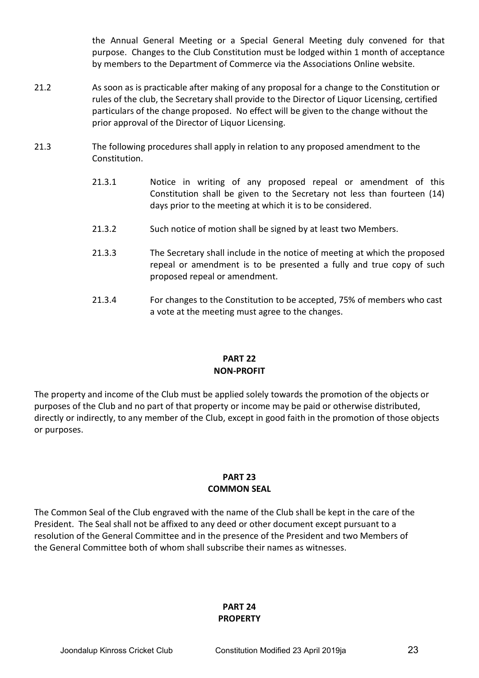the Annual General Meeting or a Special General Meeting duly convened for that purpose. Changes to the Club Constitution must be lodged within 1 month of acceptance by members to the Department of Commerce via the Associations Online website.

- 21.2 As soon as is practicable after making of any proposal for a change to the Constitution or rules of the club, the Secretary shall provide to the Director of Liquor Licensing, certified particulars of the change proposed. No effect will be given to the change without the prior approval of the Director of Liquor Licensing.
- 21.3 The following procedures shall apply in relation to any proposed amendment to the Constitution.
	- 21.3.1 Notice in writing of any proposed repeal or amendment of this Constitution shall be given to the Secretary not less than fourteen (14) days prior to the meeting at which it is to be considered.
	- 21.3.2 Such notice of motion shall be signed by at least two Members.
	- 21.3.3 The Secretary shall include in the notice of meeting at which the proposed repeal or amendment is to be presented a fully and true copy of such proposed repeal or amendment.
	- 21.3.4 For changes to the Constitution to be accepted, 75% of members who cast a vote at the meeting must agree to the changes.

# **PART 22 NON-PROFIT**

The property and income of the Club must be applied solely towards the promotion of the objects or purposes of the Club and no part of that property or income may be paid or otherwise distributed, directly or indirectly, to any member of the Club, except in good faith in the promotion of those objects or purposes.

#### **PART 23 COMMON SEAL**

The Common Seal of the Club engraved with the name of the Club shall be kept in the care of the President. The Seal shall not be affixed to any deed or other document except pursuant to a resolution of the General Committee and in the presence of the President and two Members of the General Committee both of whom shall subscribe their names as witnesses.

#### **PART 24 PROPERTY**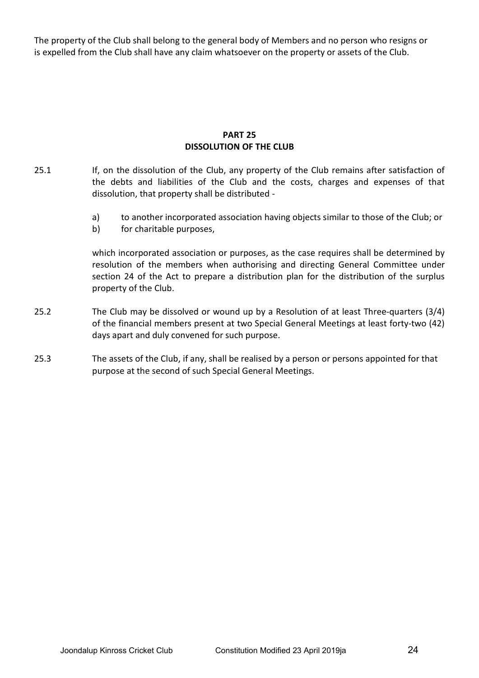The property of the Club shall belong to the general body of Members and no person who resigns or is expelled from the Club shall have any claim whatsoever on the property or assets of the Club.

# **PART 25 DISSOLUTION OF THE CLUB**

- 25.1 If, on the dissolution of the Club, any property of the Club remains after satisfaction of the debts and liabilities of the Club and the costs, charges and expenses of that dissolution, that property shall be distributed
	- a) to another incorporated association having objects similar to those of the Club; or
	- b) for charitable purposes,

which incorporated association or purposes, as the case requires shall be determined by resolution of the members when authorising and directing General Committee under section 24 of the Act to prepare a distribution plan for the distribution of the surplus property of the Club.

- 25.2 The Club may be dissolved or wound up by a Resolution of at least Three-quarters (3/4) of the financial members present at two Special General Meetings at least forty-two (42) days apart and duly convened for such purpose.
- 25.3 The assets of the Club, if any, shall be realised by a person or persons appointed for that purpose at the second of such Special General Meetings.